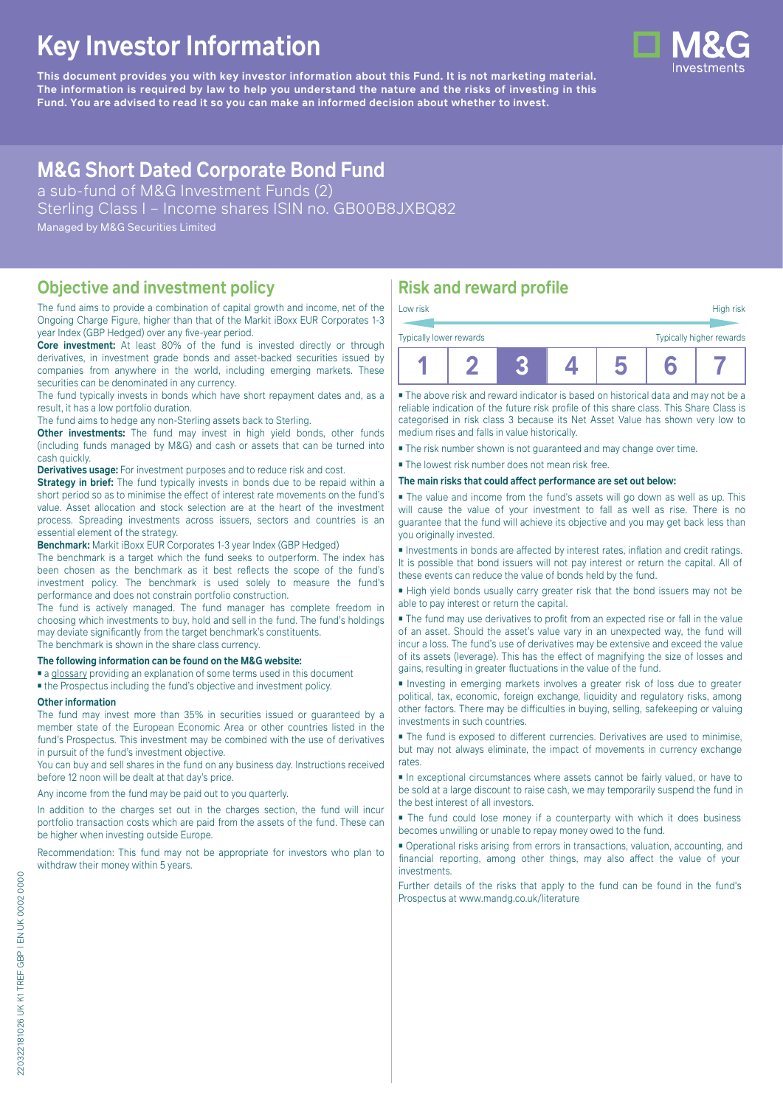# **Key Investor Information**

**This document provides you with key investor information about this Fund. It is not marketing material.** The information is required by law to help you understand the nature and the risks of investing in this **Fund. You are advised to read it so you can make an informed decision about whether to invest.**

## **M&G Short Dated Corporate Bond Fund**

a sub-fund of M&G Investment Funds (2) Sterling Class I – Income shares ISIN no. GB00B8JXBQ82 Managed by M&G Securities Limited

#### **Objective and investment policy**

The fund aims to provide a combination of capital growth and income, net of the Ongoing Charge Figure, higher than that of the Markit iBoxx EUR Corporates 1-3 year Index (GBP Hedged) over any five-year period.

**Core investment:** At least 80% of the fund is invested directly or through derivatives, in investment grade bonds and asset-backed securities issued by companies from anywhere in the world, including emerging markets. These securities can be denominated in any currency.

The fund typically invests in bonds which have short repayment dates and, as a result, it has a low portfolio duration.

The fund aims to hedge any non-Sterling assets back to Sterling.

**Other investments:** The fund may invest in high yield bonds, other funds (including funds managed by M&G) and cash or assets that can be turned into cash quickly.

**Derivatives usage:** For investment purposes and to reduce risk and cost.

**Strategy in brief:** The fund typically invests in bonds due to be repaid within a short period so as to minimise the effect of interest rate movements on the fund's value. Asset allocation and stock selection are at the heart of the investment process. Spreading investments across issuers, sectors and countries is an essential element of the strategy.

**Benchmark:** Markit iBoxx EUR Corporates 1-3 year Index (GBP Hedged)

The benchmark is a target which the fund seeks to outperform. The index has been chosen as the benchmark as it best reflects the scope of the fund's investment policy. The benchmark is used solely to measure the fund's performance and does not constrain portfolio construction.

The fund is actively managed. The fund manager has complete freedom in choosing which investments to buy, hold and sell in the fund. The fund's holdings may deviate significantly from the target benchmark's constituents. The benchmark is shown in the share class currency.

#### **The following information can be found on the M&G website:**

- [a glossary](https://docs.mandg.com/docs/glossary-master-en.pdf) providing an explanation of some terms used in this document
- the Prospectus including the fund's objective and investment policy.

#### **Other information**

The fund may invest more than 35% in securities issued or guaranteed by a member state of the European Economic Area or other countries listed in the fund's Prospectus. This investment may be combined with the use of derivatives in pursuit of the fund's investment objective.

You can buy and sell shares in the fund on any business day. Instructions received before 12 noon will be dealt at that day's price.

#### Any income from the fund may be paid out to you quarterly.

In addition to the charges set out in the charges section, the fund will incur portfolio transaction costs which are paid from the assets of the fund. These can be higher when investing outside Europe.

Recommendation: This fund may not be appropriate for investors who plan to withdraw their money within 5 years.

### **Risk and reward profile**

| Low risk                | High risk                |
|-------------------------|--------------------------|
|                         |                          |
| Typically lower rewards | Typically higher rewards |

|--|--|--|--|--|--|--|

■ The above risk and reward indicator is based on historical data and may not be a reliable indication of the future risk profile of this share class. This Share Class is categorised in risk class 3 because its Net Asset Value has shown very low to medium rises and falls in value historically.

■ The risk number shown is not guaranteed and may change over time.

■ The lowest risk number does not mean risk free.

#### **The main risks that could affect performance are set out below:**

■ The value and income from the fund's assets will go down as well as up. This will cause the value of your investment to fall as well as rise. There is no guarantee that the fund will achieve its objective and you may get back less than you originally invested.

■ Investments in bonds are affected by interest rates, inflation and credit ratings. It is possible that bond issuers will not pay interest or return the capital. All of these events can reduce the value of bonds held by the fund.

■ High yield bonds usually carry greater risk that the bond issuers may not be able to pay interest or return the capital.

■ The fund may use derivatives to profit from an expected rise or fall in the value of an asset. Should the asset's value vary in an unexpected way, the fund will incur a loss. The fund's use of derivatives may be extensive and exceed the value of its assets (leverage). This has the effect of magnifying the size of losses and gains, resulting in greater fluctuations in the value of the fund.

■ Investing in emerging markets involves a greater risk of loss due to greater political, tax, economic, foreign exchange, liquidity and regulatory risks, among other factors. There may be difficulties in buying, selling, safekeeping or valuing investments in such countries.

■ The fund is exposed to different currencies. Derivatives are used to minimise, but may not always eliminate, the impact of movements in currency exchange rates.

■ In exceptional circumstances where assets cannot be fairly valued, or have to be sold at a large discount to raise cash, we may temporarily suspend the fund in the best interest of all investors.

■ The fund could lose money if a counterparty with which it does business becomes unwilling or unable to repay money owed to the fund.

■ Operational risks arising from errors in transactions, valuation, accounting, and financial reporting, among other things, may also affect the value of your investments.

Further details of the risks that apply to the fund can be found in the fund's Prospectus at [www.mandg.co.uk/literature](http://www.mandg.co.uk/literature)